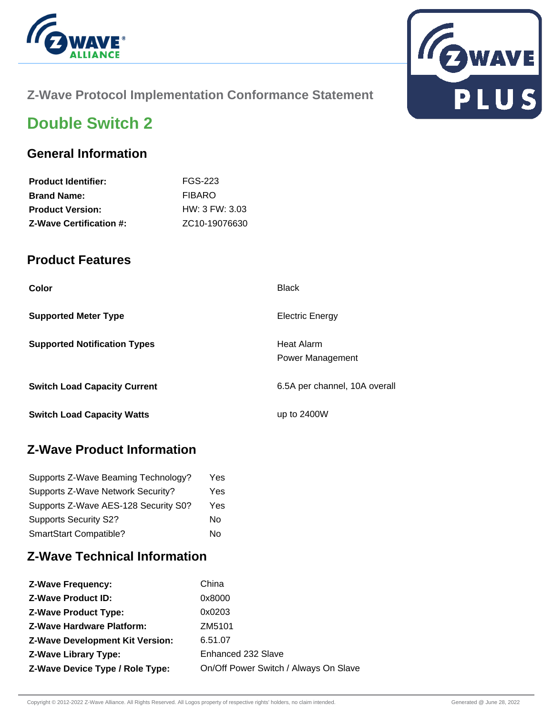



## **Z-Wave Protocol Implementation Conformance Statement**

# **Double Switch 2**

### **General Information**

| <b>Product Identifier:</b>     | FGS-223                    |
|--------------------------------|----------------------------|
| <b>Brand Name:</b>             | <b>FIBARO</b>              |
| <b>Product Version:</b>        | HW: 3 FW: 3.03             |
| <b>Z-Wave Certification #:</b> | ZC <sub>10</sub> -19076630 |

### **Product Features**

| Color                               | <b>Black</b>                          |
|-------------------------------------|---------------------------------------|
| <b>Supported Meter Type</b>         | <b>Electric Energy</b>                |
| <b>Supported Notification Types</b> | Heat Alarm<br><b>Power Management</b> |
| <b>Switch Load Capacity Current</b> | 6.5A per channel, 10A overall         |
| <b>Switch Load Capacity Watts</b>   | up to $2400W$                         |

# **Z-Wave Product Information**

| Supports Z-Wave Beaming Technology?  | Yes |
|--------------------------------------|-----|
| Supports Z-Wave Network Security?    | Yes |
| Supports Z-Wave AES-128 Security S0? | Yes |
| <b>Supports Security S2?</b>         | No  |
| SmartStart Compatible?               | N٥  |

# **Z-Wave Technical Information**

| <b>Z-Wave Product ID:</b><br>0x8000<br>0x0203<br><b>Z-Wave Product Type:</b><br><b>Z-Wave Hardware Platform:</b><br>ZM5101<br><b>Z-Wave Development Kit Version:</b><br>6.51.07<br>Enhanced 232 Slave<br><b>Z-Wave Library Type:</b><br>Z-Wave Device Type / Role Type: | <b>Z-Wave Frequency:</b> | China                                 |
|-------------------------------------------------------------------------------------------------------------------------------------------------------------------------------------------------------------------------------------------------------------------------|--------------------------|---------------------------------------|
|                                                                                                                                                                                                                                                                         |                          |                                       |
|                                                                                                                                                                                                                                                                         |                          |                                       |
|                                                                                                                                                                                                                                                                         |                          |                                       |
|                                                                                                                                                                                                                                                                         |                          |                                       |
|                                                                                                                                                                                                                                                                         |                          |                                       |
|                                                                                                                                                                                                                                                                         |                          | On/Off Power Switch / Always On Slave |